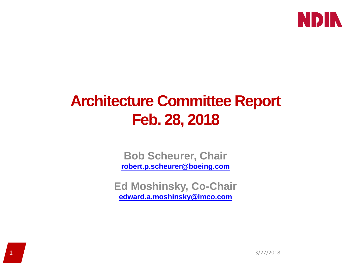

### **Architecture Committee Report Feb. 28, 2018**

**Bob Scheurer, Chair [robert.p.scheurer@boeing.com](mailto:robert.p.scheurer@boeing.com)**

**Ed Moshinsky, Co-Chair [edward.a.moshinsky@lmco.com](mailto:edward.a.moshinsky@lmco.com)**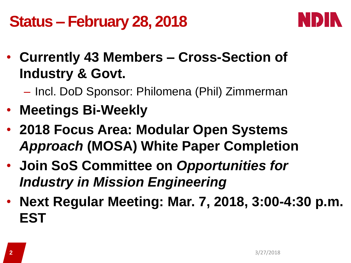## **Status – February 28, 2018**



- **Currently 43 Members – Cross-Section of Industry & Govt.**
	- Incl. DoD Sponsor: Philomena (Phil) Zimmerman
- **Meetings Bi-Weekly**
- **2018 Focus Area: Modular Open Systems**  *Approach* **(MOSA) White Paper Completion**
- **Join SoS Committee on** *Opportunities for Industry in Mission Engineering*
- **Next Regular Meeting: Mar. 7, 2018, 3:00-4:30 p.m. EST**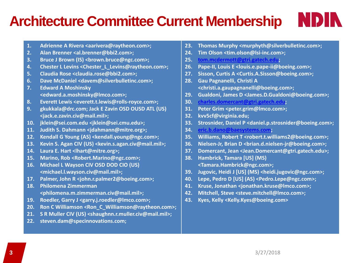#### **Architecture Committee Current Membership**

- **1. Adrienne A Rivera <aarivera@raytheon.com>;**
- **2. Alan Brenner <al.brenner@bbi2.com>;**
- **3. Bruce J Brown (IS) <brown.bruce@ngc.com>;**
- **4. Chester L Levins <Chester\_L\_Levins@raytheon.com>;**
- **5. Claudia Rose <claudia.rose@bbi2.com>;**
- **6. Dave McDaniel <davem@silverbulletinc.com>;**
- **7. Edward A Moshinsky <edward.a.moshinsky@lmco.com>;**
- **8. Everett Lewis <everett.t.lewis@rolls-royce.com>;**
- **9. gkukkala@drc.com; Jack E Zavin OSD OUSD ATL (US) <jack.e.zavin.civ@mail.mil>;**
- **10. jklein@sei.com.edu <jklein@sei.cmu.edu>;**
- **11. Judith S. Dahmann <jdahmann@mitre.org>;**
- **12. Kendall G Young (AS) <kendall.young@ngc.com>;**
- **13. Kevin S. Agan CIV (US) <kevin.s.agan.civ@mail.mil>;**
- **14. Laura E. Hart <lhart@mitre.org>;**
- **15. Marino, Rob <Robert.Marino@ngc.com>;**
- **16. Michael L Wayson CIV OSD DOD CIO (US) <michael.l.wayson.civ@mail.mil>;**
- **17. Palmer, John R <john.r.palmer2@boeing.com>;**
- **18. Philomena Zimmerman <philomena.m.zimmerman.civ@mail.mil>;**
- **19. Roedler, Garry J <garry.j.roedler@lmco.com>;**
- **20. Ron C Williamson <Ron\_C\_Williamson@raytheon.com>;**
- **21. S R Muller CIV (US) <shaughnn.r.muller.civ@mail.mil>;**
- **22. steven.dam@specinnovations.com;**

**23. Thomas Murphy <murphyth@silverbulletinc.com>;** 

NDIN

- **24. Tim Olson <tim.olson@lsi-inc.com>;**
- **25. [tom.mcdermott@gtri.gatech.edu;](mailto:tom.mcdermott@gtri.gatech.edu)**
- **26. Pape-II, Louis E <louis.e.pape-ii@boeing.com>;**
- **27. Sisson, Curtis A <Curtis.A.Sisson@boeing.com>;**
- **28. Gau Pagnanelli, Christi A <christi.a.gaupagnanelli@boeing.com>;**
- **29. Gualdoni, James D <James.D.Gualdoni@boeing.com>;**
- **30. [charles.domercant@gtri.gatech.edu](mailto:charles.domercant@gtri.gatech.edu);**
- **31. Peter Grim <peter.grim@lmco.com>;**
- **32. kvv5cf@virginia.edu;**
- **33. Strosnider, Daniel P <daniel.p.strosnider@boeing.com>;**
- **34. [eric.b.dano@baesystems.com;](mailto:eric.b.dano@baesystems.com)**
- **35. Williams, Robert T <robert.t.williams2@boeing.com>;**
- **36. Nielsen-Jr, Brian D <brian.d.nielsen-jr@boeing.com>;**
- **37. Domercant, Jean <Jean.Domercant@gtri.gatech.edu>;**
- **38. Hambrick, Tamara [US] (MS) <Tamara.Hambrick@ngc.com>;**
- **39. Jugovic, Heidi J [US] (MS) <heidi.jugovic@ngc.com>;**
- **40. Lepe, Pedro D [US] (AS) <Pedro.Lepe@ngc.com>;**
- **41. Kruse, Jonathan <jonathan.kruse@lmco.com>;**
- **42. Mitchell, Steve <steve.mitchell@lmco.com>;**
- **43. Kyes, Kelly <Kelly.Kyes@boeing.com>**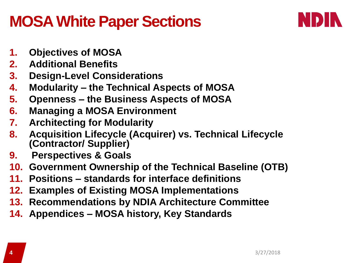#### **MOSA White Paper Sections**



- **1. Objectives of MOSA**
- **2. Additional Benefits**
- **3. Design-Level Considerations**
- **4. Modularity – the Technical Aspects of MOSA**
- **5. Openness – the Business Aspects of MOSA**
- **6. Managing a MOSA Environment**
- **7. Architecting for Modularity**
- **8. Acquisition Lifecycle (Acquirer) vs. Technical Lifecycle (Contractor/ Supplier)**
- **9. Perspectives & Goals**
- **10. Government Ownership of the Technical Baseline (OTB)**
- **11. Positions – standards for interface definitions**
- **12. Examples of Existing MOSA Implementations**
- **13. Recommendations by NDIA Architecture Committee**
- **14. Appendices – MOSA history, Key Standards**